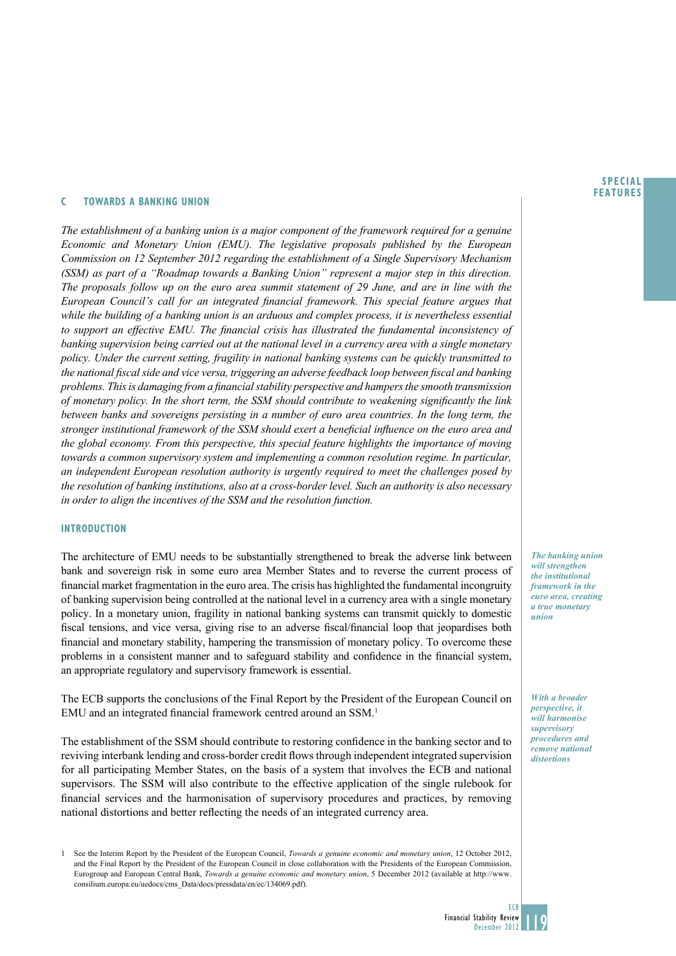#### **SPECIAL FEATURES**

### **C TowardS a banking union**

*The establishment of a banking union is a major component of the framework required for a genuine Economic and Monetary Union (EMU). The legislative proposals published by the European Commission on 12 September 2012 regarding the establishment of a Single Supervisory Mechanism (SSM) as part of a "Roadmap towards a Banking Union" represent a major step in this direction. The proposals follow up on the euro area summit statement of 29 June, and are in line with the European Council's call for an integrated financial framework. This special feature argues that while the building of a banking union is an arduous and complex process, it is nevertheless essential to support an effective EMU. The financial crisis has illustrated the fundamental inconsistency of banking supervision being carried out at the national level in a currency area with a single monetary policy. Under the current setting, fragility in national banking systems can be quickly transmitted to the national fiscal side and vice versa, triggering an adverse feedback loop between fiscal and banking problems. This is damaging from a financial stability perspective and hampers the smooth transmission of monetary policy. In the short term, the SSM should contribute to weakening significantly the link between banks and sovereigns persisting in a number of euro area countries. In the long term, the stronger institutional framework of the SSM should exert a beneficial influence on the euro area and the global economy. From this perspective, this special feature highlights the importance of moving towards a common supervisory system and implementing a common resolution regime. In particular, an independent European resolution authority is urgently required to meet the challenges posed by the resolution of banking institutions, also at a cross-border level. Such an authority is also necessary in order to align the incentives of the SSM and the resolution function.*

# **Introduction**

The architecture of EMU needs to be substantially strengthened to break the adverse link between bank and sovereign risk in some euro area Member States and to reverse the current process of financial market fragmentation in the euro area. The crisis has highlighted the fundamental incongruity of banking supervision being controlled at the national level in a currency area with a single monetary policy. In a monetary union, fragility in national banking systems can transmit quickly to domestic fiscal tensions, and vice versa, giving rise to an adverse fiscal/financial loop that jeopardises both financial and monetary stability, hampering the transmission of monetary policy. To overcome these problems in a consistent manner and to safeguard stability and confidence in the financial system, an appropriate regulatory and supervisory framework is essential.

The ECB supports the conclusions of the Final Report by the President of the European Council on EMU and an integrated financial framework centred around an SSM.<sup>1</sup>

The establishment of the SSM should contribute to restoring confidence in the banking sector and to reviving interbank lending and cross-border credit flows through independent integrated supervision for all participating Member States, on the basis of a system that involves the ECB and national supervisors. The SSM will also contribute to the effective application of the single rulebook for financial services and the harmonisation of supervisory procedures and practices, by removing national distortions and better reflecting the needs of an integrated currency area.

1 See the Interim Report by the President of the European Council, *Towards a genuine economic and monetary union*, 12 October 2012, and the Final Report by the President of the European Council in close collaboration with the Presidents of the European Commission, Eurogroup and European Central Bank, *Towards a genuine economic and monetary union*, 5 December 2012 (available at http://www. consilium.europa.eu/uedocs/cms\_Data/docs/pressdata/en/ec/134069.pdf).

*The banking union will strengthen the institutional framework in the euro area, creating a true monetary union*

*With a broader perspective, it will harmonise supervisory procedures and remove national distortions*

ECB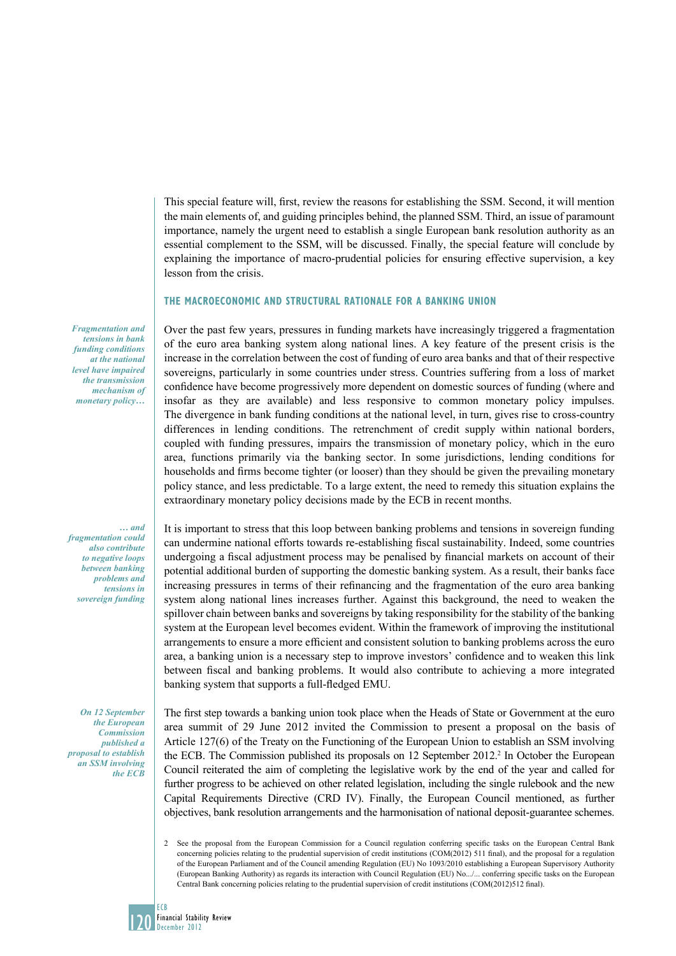This special feature will, first, review the reasons for establishing the SSM. Second, it will mention the main elements of, and guiding principles behind, the planned SSM. Third, an issue of paramount importance, namely the urgent need to establish a single European bank resolution authority as an essential complement to the SSM, will be discussed. Finally, the special feature will conclude by explaining the importance of macro-prudential policies for ensuring effective supervision, a key lesson from the crisis.

# **The macroeconomic and structural rationale for a banking union**

Over the past few years, pressures in funding markets have increasingly triggered a fragmentation of the euro area banking system along national lines. A key feature of the present crisis is the increase in the correlation between the cost of funding of euro area banks and that of their respective sovereigns, particularly in some countries under stress. Countries suffering from a loss of market confidence have become progressively more dependent on domestic sources of funding (where and insofar as they are available) and less responsive to common monetary policy impulses. The divergence in bank funding conditions at the national level, in turn, gives rise to cross-country differences in lending conditions. The retrenchment of credit supply within national borders, coupled with funding pressures, impairs the transmission of monetary policy, which in the euro area, functions primarily via the banking sector. In some jurisdictions, lending conditions for households and firms become tighter (or looser) than they should be given the prevailing monetary policy stance, and less predictable. To a large extent, the need to remedy this situation explains the extraordinary monetary policy decisions made by the ECB in recent months.

*… and fragmentation could also contribute to negative loops between banking problems and tensions in sovereign funding* 

*Fragmentation and tensions in bank funding conditions at the national level have impaired the transmission mechanism of monetary policy…*

*On 12 September the European Commission published a proposal to establish an SSM involving the ECB*

It is important to stress that this loop between banking problems and tensions in sovereign funding can undermine national efforts towards re-establishing fiscal sustainability. Indeed, some countries undergoing a fiscal adjustment process may be penalised by financial markets on account of their potential additional burden of supporting the domestic banking system. As a result, their banks face increasing pressures in terms of their refinancing and the fragmentation of the euro area banking system along national lines increases further. Against this background, the need to weaken the spillover chain between banks and sovereigns by taking responsibility for the stability of the banking system at the European level becomes evident. Within the framework of improving the institutional arrangements to ensure a more efficient and consistent solution to banking problems across the euro area, a banking union is a necessary step to improve investors' confidence and to weaken this link between fiscal and banking problems. It would also contribute to achieving a more integrated banking system that supports a full-fledged EMU.

The first step towards a banking union took place when the Heads of State or Government at the euro area summit of 29 June 2012 invited the Commission to present a proposal on the basis of Article 127(6) of the Treaty on the Functioning of the European Union to establish an SSM involving the ECB. The Commission published its proposals on 12 September 2012.<sup>2</sup> In October the European Council reiterated the aim of completing the legislative work by the end of the year and called for further progress to be achieved on other related legislation, including the single rulebook and the new Capital Requirements Directive (CRD IV). Finally, the European Council mentioned, as further objectives, bank resolution arrangements and the harmonisation of national deposit-guarantee schemes.

<sup>2</sup> See the proposal from the European Commission for a Council regulation conferring specific tasks on the European Central Bank concerning policies relating to the prudential supervision of credit institutions (COM(2012) 511 final), and the proposal for a regulation of the European Parliament and of the Council amending Regulation (EU) No 1093/2010 establishing a European Supervisory Authority (European Banking Authority) as regards its interaction with Council Regulation (EU) No.../... conferring specific tasks on the European Central Bank concerning policies relating to the prudential supervision of credit institutions (COM(2012)512 final).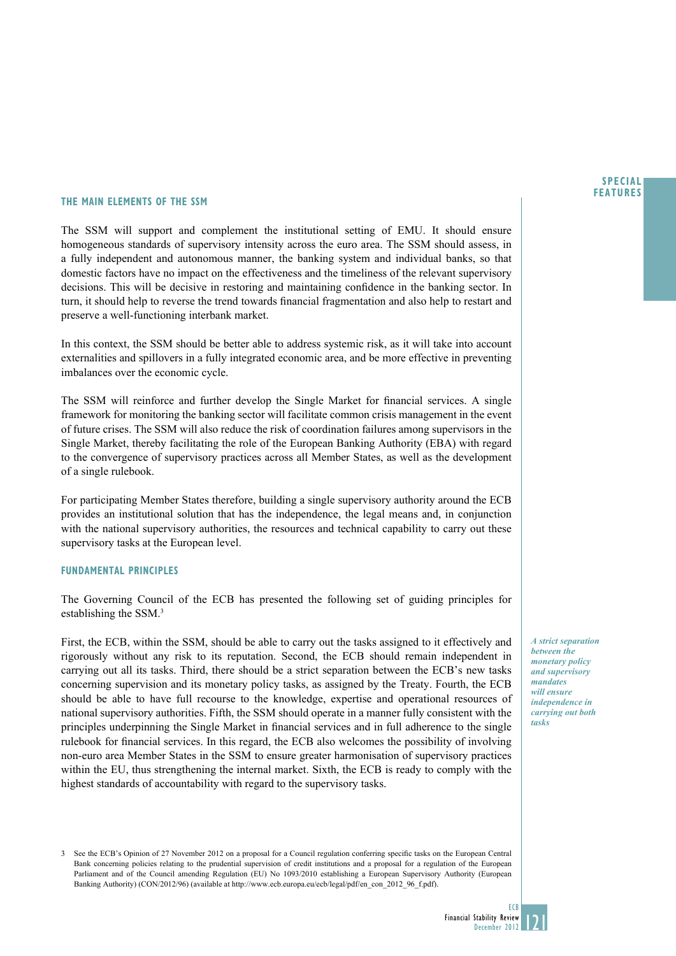#### **SPECIAL FEATURES**

### **The main elements of the SSm**

The SSM will support and complement the institutional setting of EMU. It should ensure homogeneous standards of supervisory intensity across the euro area. The SSM should assess, in a fully independent and autonomous manner, the banking system and individual banks, so that domestic factors have no impact on the effectiveness and the timeliness of the relevant supervisory decisions. This will be decisive in restoring and maintaining confidence in the banking sector. In turn, it should help to reverse the trend towards financial fragmentation and also help to restart and preserve a well-functioning interbank market.

In this context, the SSM should be better able to address systemic risk, as it will take into account externalities and spillovers in a fully integrated economic area, and be more effective in preventing imbalances over the economic cycle.

The SSM will reinforce and further develop the Single Market for financial services. A single framework for monitoring the banking sector will facilitate common crisis management in the event of future crises. The SSM will also reduce the risk of coordination failures among supervisors in the Single Market, thereby facilitating the role of the European Banking Authority (EBA) with regard to the convergence of supervisory practices across all Member States, as well as the development of a single rulebook.

For participating Member States therefore, building a single supervisory authority around the ECB provides an institutional solution that has the independence, the legal means and, in conjunction with the national supervisory authorities, the resources and technical capability to carry out these supervisory tasks at the European level.

### **Fundamental principles**

The Governing Council of the ECB has presented the following set of guiding principles for establishing the SSM.3

First, the ECB, within the SSM, should be able to carry out the tasks assigned to it effectively and rigorously without any risk to its reputation. Second, the ECB should remain independent in carrying out all its tasks. Third, there should be a strict separation between the ECB's new tasks concerning supervision and its monetary policy tasks, as assigned by the Treaty. Fourth, the ECB should be able to have full recourse to the knowledge, expertise and operational resources of national supervisory authorities. Fifth, the SSM should operate in a manner fully consistent with the principles underpinning the Single Market in financial services and in full adherence to the single rulebook for financial services. In this regard, the ECB also welcomes the possibility of involving non-euro area Member States in the SSM to ensure greater harmonisation of supervisory practices within the EU, thus strengthening the internal market. Sixth, the ECB is ready to comply with the highest standards of accountability with regard to the supervisory tasks.

3 See the ECB's Opinion of 27 November 2012 on a proposal for a Council regulation conferring specific tasks on the European Central Bank concerning policies relating to the prudential supervision of credit institutions and a proposal for a regulation of the European Parliament and of the Council amending Regulation (EU) No 1093/2010 establishing a European Supervisory Authority (European Banking Authority) (CON/2012/96) (available at http://www.ecb.europa.eu/ecb/legal/pdf/en\_con\_2012\_96\_f.pdf).

*A strict separation between the monetary policy and supervisory mandates will ensure independence in carrying out both tasks*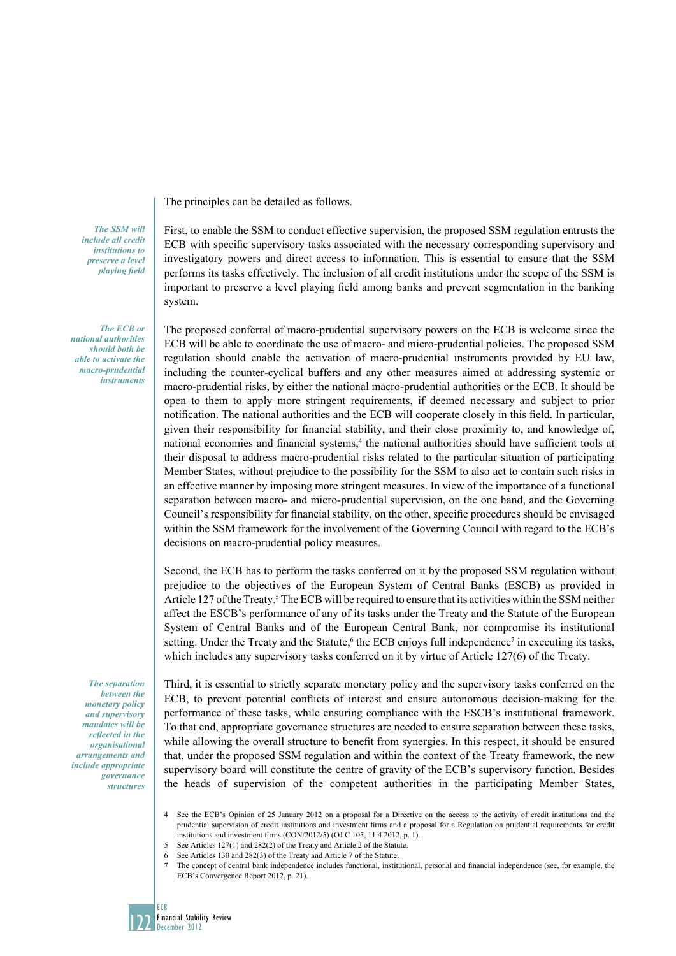The principles can be detailed as follows.

*The SSM will include all credit institutions to preserve a level playing field*

*The ECB or national authorities should both be able to activate the macro-prudential instruments*

*The separation between the monetary policy and supervisory mandates will be reflected in the organisational arrangements and include appropriate governance structures*

First, to enable the SSM to conduct effective supervision, the proposed SSM regulation entrusts the ECB with specific supervisory tasks associated with the necessary corresponding supervisory and investigatory powers and direct access to information. This is essential to ensure that the SSM performs its tasks effectively. The inclusion of all credit institutions under the scope of the SSM is important to preserve a level playing field among banks and prevent segmentation in the banking system.

The proposed conferral of macro-prudential supervisory powers on the ECB is welcome since the ECB will be able to coordinate the use of macro- and micro-prudential policies. The proposed SSM regulation should enable the activation of macro-prudential instruments provided by EU law, including the counter-cyclical buffers and any other measures aimed at addressing systemic or macro-prudential risks, by either the national macro-prudential authorities or the ECB. It should be open to them to apply more stringent requirements, if deemed necessary and subject to prior notification. The national authorities and the ECB will cooperate closely in this field. In particular, given their responsibility for financial stability, and their close proximity to, and knowledge of, national economies and financial systems,<sup>4</sup> the national authorities should have sufficient tools at their disposal to address macro-prudential risks related to the particular situation of participating Member States, without prejudice to the possibility for the SSM to also act to contain such risks in an effective manner by imposing more stringent measures. In view of the importance of a functional separation between macro- and micro-prudential supervision, on the one hand, and the Governing Council's responsibility for financial stability, on the other, specific procedures should be envisaged within the SSM framework for the involvement of the Governing Council with regard to the ECB's decisions on macro-prudential policy measures.

Second, the ECB has to perform the tasks conferred on it by the proposed SSM regulation without prejudice to the objectives of the European System of Central Banks (ESCB) as provided in Article 127 of the Treaty.<sup>5</sup> The ECB will be required to ensure that its activities within the SSM neither affect the ESCB's performance of any of its tasks under the Treaty and the Statute of the European System of Central Banks and of the European Central Bank, nor compromise its institutional setting. Under the Treaty and the Statute,<sup>6</sup> the ECB enjoys full independence<sup>7</sup> in executing its tasks, which includes any supervisory tasks conferred on it by virtue of Article 127(6) of the Treaty.

Third, it is essential to strictly separate monetary policy and the supervisory tasks conferred on the ECB, to prevent potential conflicts of interest and ensure autonomous decision-making for the performance of these tasks, while ensuring compliance with the ESCB's institutional framework. To that end, appropriate governance structures are needed to ensure separation between these tasks, while allowing the overall structure to benefit from synergies. In this respect, it should be ensured that, under the proposed SSM regulation and within the context of the Treaty framework, the new supervisory board will constitute the centre of gravity of the ECB's supervisory function. Besides the heads of supervision of the competent authorities in the participating Member States,

- 4 See the ECB's Opinion of 25 January 2012 on a proposal for a Directive on the access to the activity of credit institutions and the prudential supervision of credit institutions and investment firms and a proposal for a Regulation on prudential requirements for credit institutions and investment firms (CON/2012/5) (OJ C 105, 11.4.2012, p. 1).
- 5 See Articles 127(1) and 282(2) of the Treaty and Article 2 of the Statute.
- 6 See Articles 130 and 282(3) of the Treaty and Article 7 of the Statute.
- 7 The concept of central bank independence includes functional, institutional, personal and financial independence (see, for example, the ECB's Convergence Report 2012, p. 21).

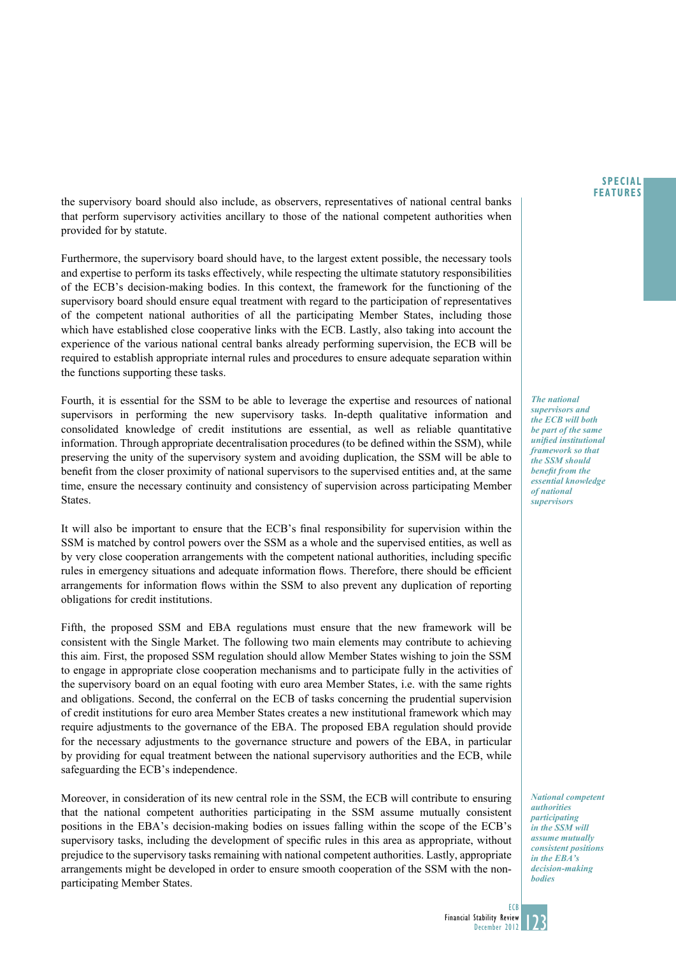the supervisory board should also include, as observers, representatives of national central banks that perform supervisory activities ancillary to those of the national competent authorities when provided for by statute.

Furthermore, the supervisory board should have, to the largest extent possible, the necessary tools and expertise to perform its tasks effectively, while respecting the ultimate statutory responsibilities of the ECB's decision-making bodies. In this context, the framework for the functioning of the supervisory board should ensure equal treatment with regard to the participation of representatives of the competent national authorities of all the participating Member States, including those which have established close cooperative links with the ECB. Lastly, also taking into account the experience of the various national central banks already performing supervision, the ECB will be required to establish appropriate internal rules and procedures to ensure adequate separation within the functions supporting these tasks.

Fourth, it is essential for the SSM to be able to leverage the expertise and resources of national supervisors in performing the new supervisory tasks. In-depth qualitative information and consolidated knowledge of credit institutions are essential, as well as reliable quantitative information. Through appropriate decentralisation procedures (to be defined within the SSM), while preserving the unity of the supervisory system and avoiding duplication, the SSM will be able to benefit from the closer proximity of national supervisors to the supervised entities and, at the same time, ensure the necessary continuity and consistency of supervision across participating Member States.

It will also be important to ensure that the ECB's final responsibility for supervision within the SSM is matched by control powers over the SSM as a whole and the supervised entities, as well as by very close cooperation arrangements with the competent national authorities, including specific rules in emergency situations and adequate information flows. Therefore, there should be efficient arrangements for information flows within the SSM to also prevent any duplication of reporting obligations for credit institutions.

Fifth, the proposed SSM and EBA regulations must ensure that the new framework will be consistent with the Single Market. The following two main elements may contribute to achieving this aim. First, the proposed SSM regulation should allow Member States wishing to join the SSM to engage in appropriate close cooperation mechanisms and to participate fully in the activities of the supervisory board on an equal footing with euro area Member States, i.e. with the same rights and obligations. Second, the conferral on the ECB of tasks concerning the prudential supervision of credit institutions for euro area Member States creates a new institutional framework which may require adjustments to the governance of the EBA. The proposed EBA regulation should provide for the necessary adjustments to the governance structure and powers of the EBA, in particular by providing for equal treatment between the national supervisory authorities and the ECB, while safeguarding the ECB's independence.

Moreover, in consideration of its new central role in the SSM, the ECB will contribute to ensuring that the national competent authorities participating in the SSM assume mutually consistent positions in the EBA's decision-making bodies on issues falling within the scope of the ECB's supervisory tasks, including the development of specific rules in this area as appropriate, without prejudice to the supervisory tasks remaining with national competent authorities. Lastly, appropriate arrangements might be developed in order to ensure smooth cooperation of the SSM with the nonparticipating Member States.

**SPECIAL FEATURES**

*The national supervisors and the ECB will both be part of the same unified institutional framework so that the SSM should benefit from the essential knowledge of national supervisors* 

*National competent authorities participating in the SSM will assume mutually consistent positions in the EBA's decision-making bodies*

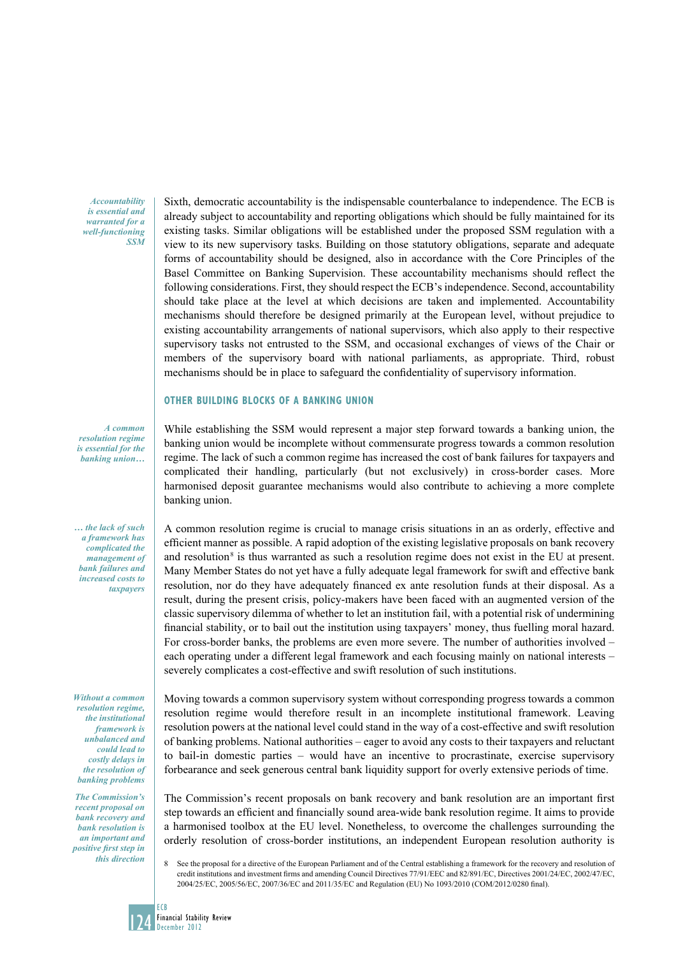*Accountability is essential and warranted for a well-functioning SSM* 

Sixth, democratic accountability is the indispensable counterbalance to independence. The ECB is already subject to accountability and reporting obligations which should be fully maintained for its existing tasks. Similar obligations will be established under the proposed SSM regulation with a view to its new supervisory tasks. Building on those statutory obligations, separate and adequate forms of accountability should be designed, also in accordance with the Core Principles of the Basel Committee on Banking Supervision. These accountability mechanisms should reflect the following considerations. First, they should respect the ECB's independence. Second, accountability should take place at the level at which decisions are taken and implemented. Accountability mechanisms should therefore be designed primarily at the European level, without prejudice to existing accountability arrangements of national supervisors, which also apply to their respective supervisory tasks not entrusted to the SSM, and occasional exchanges of views of the Chair or members of the supervisory board with national parliaments, as appropriate. Third, robust mechanisms should be in place to safeguard the confidentiality of supervisory information.

### **OTher Building Blocks of a Banking Union**

While establishing the SSM would represent a major step forward towards a banking union, the banking union would be incomplete without commensurate progress towards a common resolution regime. The lack of such a common regime has increased the cost of bank failures for taxpayers and complicated their handling, particularly (but not exclusively) in cross-border cases. More harmonised deposit guarantee mechanisms would also contribute to achieving a more complete banking union.

A common resolution regime is crucial to manage crisis situations in an as orderly, effective and efficient manner as possible. A rapid adoption of the existing legislative proposals on bank recovery and resolution<sup>8</sup> is thus warranted as such a resolution regime does not exist in the EU at present. Many Member States do not yet have a fully adequate legal framework for swift and effective bank resolution, nor do they have adequately financed ex ante resolution funds at their disposal. As a result, during the present crisis, policy-makers have been faced with an augmented version of the classic supervisory dilemma of whether to let an institution fail, with a potential risk of undermining financial stability, or to bail out the institution using taxpayers' money, thus fuelling moral hazard. For cross-border banks, the problems are even more severe. The number of authorities involved – each operating under a different legal framework and each focusing mainly on national interests – severely complicates a cost-effective and swift resolution of such institutions.

Moving towards a common supervisory system without corresponding progress towards a common resolution regime would therefore result in an incomplete institutional framework. Leaving resolution powers at the national level could stand in the way of a cost-effective and swift resolution of banking problems. National authorities – eager to avoid any costs to their taxpayers and reluctant to bail-in domestic parties – would have an incentive to procrastinate, exercise supervisory forbearance and seek generous central bank liquidity support for overly extensive periods of time.

The Commission's recent proposals on bank recovery and bank resolution are an important first step towards an efficient and financially sound area-wide bank resolution regime. It aims to provide a harmonised toolbox at the EU level. Nonetheless, to overcome the challenges surrounding the orderly resolution of cross-border institutions, an independent European resolution authority is

*A common resolution regime is essential for the banking union…* 

*… the lack of such a framework has complicated the management of bank failures and increased costs to taxpayers* 

*Without a common resolution regime, the institutional framework is unbalanced and could lead to costly delays in the resolution of banking problems*

*The Commission's recent proposal on bank recovery and bank resolution is an important and positive first step in this direction*

See the proposal for a directive of the European Parliament and of the Central establishing a framework for the recovery and resolution of credit institutions and investment firms and amending Council Directives 77/91/EEC and 82/891/EC, Directives 2001/24/EC, 2002/47/EC, 2004/25/EC, 2005/56/EC, 2007/36/EC and 2011/35/EC and Regulation (EU) No 1093/2010 (COM/2012/0280 final).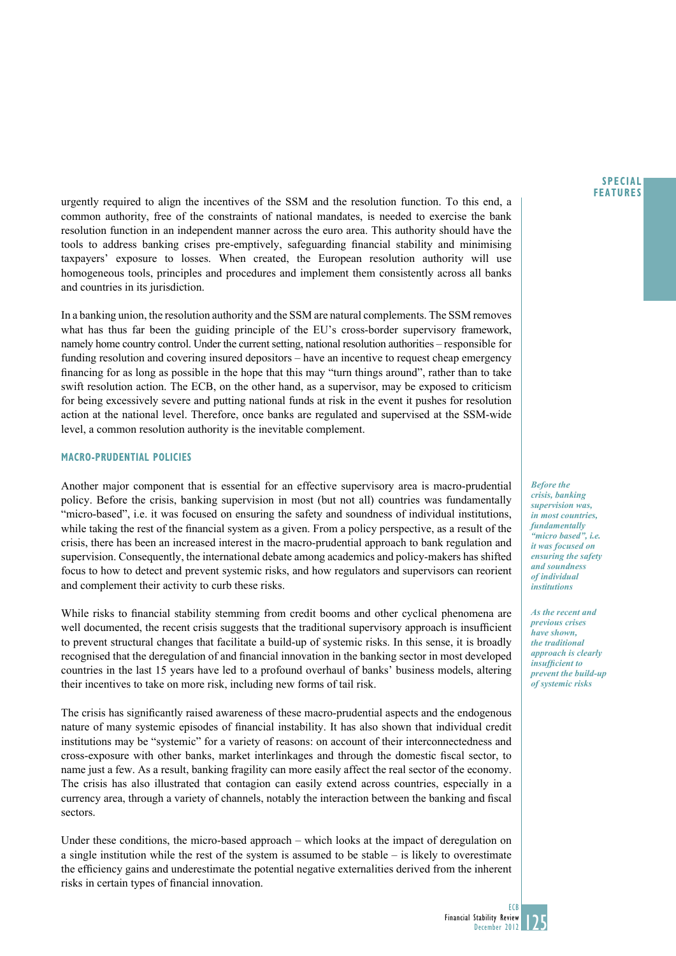**SPECIAL FEATURES**

urgently required to align the incentives of the SSM and the resolution function. To this end, a common authority, free of the constraints of national mandates, is needed to exercise the bank resolution function in an independent manner across the euro area. This authority should have the tools to address banking crises pre-emptively, safeguarding financial stability and minimising taxpayers' exposure to losses. When created, the European resolution authority will use homogeneous tools, principles and procedures and implement them consistently across all banks and countries in its jurisdiction.

In a banking union, the resolution authority and the SSM are natural complements. The SSM removes what has thus far been the guiding principle of the EU's cross-border supervisory framework, namely home country control. Under the current setting, national resolution authorities – responsible for funding resolution and covering insured depositors – have an incentive to request cheap emergency financing for as long as possible in the hope that this may "turn things around", rather than to take swift resolution action. The ECB, on the other hand, as a supervisor, may be exposed to criticism for being excessively severe and putting national funds at risk in the event it pushes for resolution action at the national level. Therefore, once banks are regulated and supervised at the SSM-wide level, a common resolution authority is the inevitable complement.

## **Macro-prudential policies**

Another major component that is essential for an effective supervisory area is macro-prudential policy. Before the crisis, banking supervision in most (but not all) countries was fundamentally "micro-based", i.e. it was focused on ensuring the safety and soundness of individual institutions, while taking the rest of the financial system as a given. From a policy perspective, as a result of the crisis, there has been an increased interest in the macro-prudential approach to bank regulation and supervision. Consequently, the international debate among academics and policy-makers has shifted focus to how to detect and prevent systemic risks, and how regulators and supervisors can reorient and complement their activity to curb these risks.

While risks to financial stability stemming from credit booms and other cyclical phenomena are well documented, the recent crisis suggests that the traditional supervisory approach is insufficient to prevent structural changes that facilitate a build-up of systemic risks. In this sense, it is broadly recognised that the deregulation of and financial innovation in the banking sector in most developed countries in the last 15 years have led to a profound overhaul of banks' business models, altering their incentives to take on more risk, including new forms of tail risk.

The crisis has significantly raised awareness of these macro-prudential aspects and the endogenous nature of many systemic episodes of financial instability. It has also shown that individual credit institutions may be "systemic" for a variety of reasons: on account of their interconnectedness and cross-exposure with other banks, market interlinkages and through the domestic fiscal sector, to name just a few. As a result, banking fragility can more easily affect the real sector of the economy. The crisis has also illustrated that contagion can easily extend across countries, especially in a currency area, through a variety of channels, notably the interaction between the banking and fiscal sectors.

Under these conditions, the micro-based approach – which looks at the impact of deregulation on a single institution while the rest of the system is assumed to be stable – is likely to overestimate the efficiency gains and underestimate the potential negative externalities derived from the inherent risks in certain types of financial innovation.

*Before the crisis, banking supervision was, in most countries, fundamentally "micro based", i.e. it was focused on ensuring the safety and soundness of individual institutions*

*As the recent and previous crises have shown, the traditional approach is clearly insufficient to prevent the build-up of systemic risks*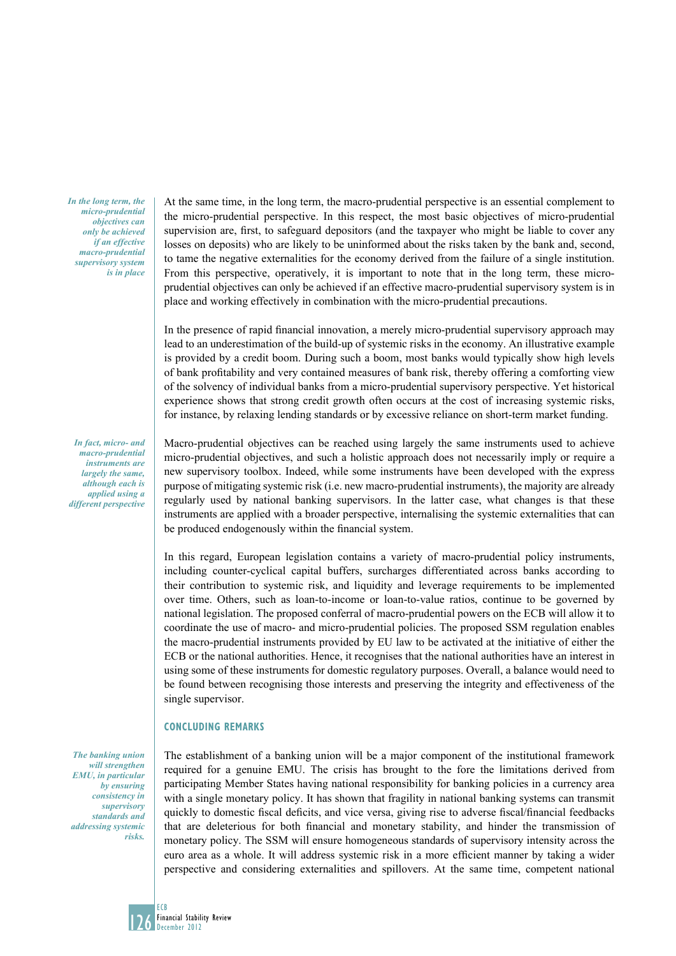*In the long term, the micro-prudential objectives can only be achieved if an effective macro-prudential supervisory system is in place*

*In fact, micro- and macro-prudential instruments are largely the same, although each is applied using a different perspective* 

*The banking union will strengthen EMU, in particular by ensuring consistency in supervisory standards and addressing systemic risks.* 

At the same time, in the long term, the macro-prudential perspective is an essential complement to the micro-prudential perspective. In this respect, the most basic objectives of micro-prudential supervision are, first, to safeguard depositors (and the taxpayer who might be liable to cover any losses on deposits) who are likely to be uninformed about the risks taken by the bank and, second, to tame the negative externalities for the economy derived from the failure of a single institution. From this perspective, operatively, it is important to note that in the long term, these microprudential objectives can only be achieved if an effective macro-prudential supervisory system is in place and working effectively in combination with the micro-prudential precautions.

In the presence of rapid financial innovation, a merely micro-prudential supervisory approach may lead to an underestimation of the build-up of systemic risks in the economy. An illustrative example is provided by a credit boom. During such a boom, most banks would typically show high levels of bank profitability and very contained measures of bank risk, thereby offering a comforting view of the solvency of individual banks from a micro-prudential supervisory perspective. Yet historical experience shows that strong credit growth often occurs at the cost of increasing systemic risks, for instance, by relaxing lending standards or by excessive reliance on short-term market funding.

Macro-prudential objectives can be reached using largely the same instruments used to achieve micro-prudential objectives, and such a holistic approach does not necessarily imply or require a new supervisory toolbox. Indeed, while some instruments have been developed with the express purpose of mitigating systemic risk (i.e. new macro-prudential instruments), the majority are already regularly used by national banking supervisors. In the latter case, what changes is that these instruments are applied with a broader perspective, internalising the systemic externalities that can be produced endogenously within the financial system.

In this regard, European legislation contains a variety of macro-prudential policy instruments, including counter-cyclical capital buffers, surcharges differentiated across banks according to their contribution to systemic risk, and liquidity and leverage requirements to be implemented over time. Others, such as loan-to-income or loan-to-value ratios, continue to be governed by national legislation. The proposed conferral of macro-prudential powers on the ECB will allow it to coordinate the use of macro- and micro-prudential policies. The proposed SSM regulation enables the macro-prudential instruments provided by EU law to be activated at the initiative of either the ECB or the national authorities. Hence, it recognises that the national authorities have an interest in using some of these instruments for domestic regulatory purposes. Overall, a balance would need to be found between recognising those interests and preserving the integrity and effectiveness of the single supervisor.

### **concluding remarks**

The establishment of a banking union will be a major component of the institutional framework required for a genuine EMU. The crisis has brought to the fore the limitations derived from participating Member States having national responsibility for banking policies in a currency area with a single monetary policy. It has shown that fragility in national banking systems can transmit quickly to domestic fiscal deficits, and vice versa, giving rise to adverse fiscal/financial feedbacks that are deleterious for both financial and monetary stability, and hinder the transmission of monetary policy. The SSM will ensure homogeneous standards of supervisory intensity across the euro area as a whole. It will address systemic risk in a more efficient manner by taking a wider perspective and considering externalities and spillovers. At the same time, competent national